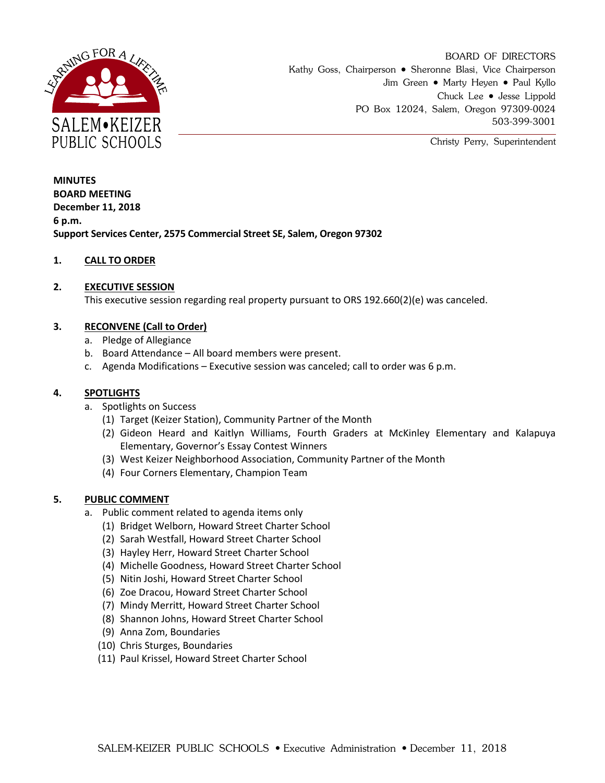

BOARD OF DIRECTORS Kathy Goss, Chairperson • Sheronne Blasi, Vice Chairperson Jim Green • Marty Heyen • Paul Kyllo Chuck Lee Jesse Lippold PO Box 12024, Salem, Oregon 97309-0024 503-399-3001

Christy Perry, Superintendent

**MINUTES BOARD MEETING December 11, 2018 6 p.m. Support Services Center, 2575 Commercial Street SE, Salem, Oregon 97302**

## **1. CALL TO ORDER**

### **2. EXECUTIVE SESSION**

This executive session regarding real property pursuant to ORS 192.660(2)(e) was canceled.

## **3. RECONVENE (Call to Order)**

- a. Pledge of Allegiance
- b. Board Attendance All board members were present.
- c. Agenda Modifications Executive session was canceled; call to order was 6 p.m.

### **4. SPOTLIGHTS**

- a. Spotlights on Success
	- (1) Target (Keizer Station), Community Partner of the Month
	- (2) Gideon Heard and Kaitlyn Williams, Fourth Graders at McKinley Elementary and Kalapuya Elementary, Governor's Essay Contest Winners
	- (3) West Keizer Neighborhood Association, Community Partner of the Month
	- (4) Four Corners Elementary, Champion Team

#### **5. PUBLIC COMMENT**

- a. Public comment related to agenda items only
	- (1) Bridget Welborn, Howard Street Charter School
	- (2) Sarah Westfall, Howard Street Charter School
	- (3) Hayley Herr, Howard Street Charter School
	- (4) Michelle Goodness, Howard Street Charter School
	- (5) Nitin Joshi, Howard Street Charter School
	- (6) Zoe Dracou, Howard Street Charter School
	- (7) Mindy Merritt, Howard Street Charter School
	- (8) Shannon Johns, Howard Street Charter School
	- (9) Anna Zom, Boundaries
	- (10) Chris Sturges, Boundaries
	- (11) Paul Krissel, Howard Street Charter School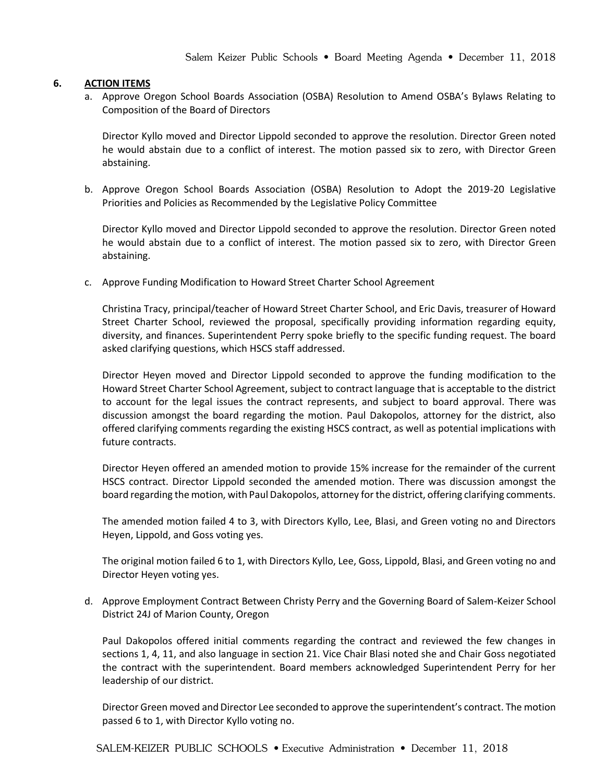### **6. ACTION ITEMS**

a. Approve Oregon School Boards Association (OSBA) Resolution to Amend OSBA's Bylaws Relating to Composition of the Board of Directors

Director Kyllo moved and Director Lippold seconded to approve the resolution. Director Green noted he would abstain due to a conflict of interest. The motion passed six to zero, with Director Green abstaining.

b. Approve Oregon School Boards Association (OSBA) Resolution to Adopt the 2019-20 Legislative Priorities and Policies as Recommended by the Legislative Policy Committee

Director Kyllo moved and Director Lippold seconded to approve the resolution. Director Green noted he would abstain due to a conflict of interest. The motion passed six to zero, with Director Green abstaining.

c. Approve Funding Modification to Howard Street Charter School Agreement

Christina Tracy, principal/teacher of Howard Street Charter School, and Eric Davis, treasurer of Howard Street Charter School, reviewed the proposal, specifically providing information regarding equity, diversity, and finances. Superintendent Perry spoke briefly to the specific funding request. The board asked clarifying questions, which HSCS staff addressed.

Director Heyen moved and Director Lippold seconded to approve the funding modification to the Howard Street Charter School Agreement, subject to contract language that is acceptable to the district to account for the legal issues the contract represents, and subject to board approval. There was discussion amongst the board regarding the motion. Paul Dakopolos, attorney for the district, also offered clarifying comments regarding the existing HSCS contract, as well as potential implications with future contracts.

Director Heyen offered an amended motion to provide 15% increase for the remainder of the current HSCS contract. Director Lippold seconded the amended motion. There was discussion amongst the board regarding the motion, with Paul Dakopolos, attorney for the district, offering clarifying comments.

The amended motion failed 4 to 3, with Directors Kyllo, Lee, Blasi, and Green voting no and Directors Heyen, Lippold, and Goss voting yes.

The original motion failed 6 to 1, with Directors Kyllo, Lee, Goss, Lippold, Blasi, and Green voting no and Director Heyen voting yes.

d. Approve Employment Contract Between Christy Perry and the Governing Board of Salem-Keizer School District 24J of Marion County, Oregon

Paul Dakopolos offered initial comments regarding the contract and reviewed the few changes in sections 1, 4, 11, and also language in section 21. Vice Chair Blasi noted she and Chair Goss negotiated the contract with the superintendent. Board members acknowledged Superintendent Perry for her leadership of our district.

Director Green moved and Director Lee seconded to approve the superintendent's contract. The motion passed 6 to 1, with Director Kyllo voting no.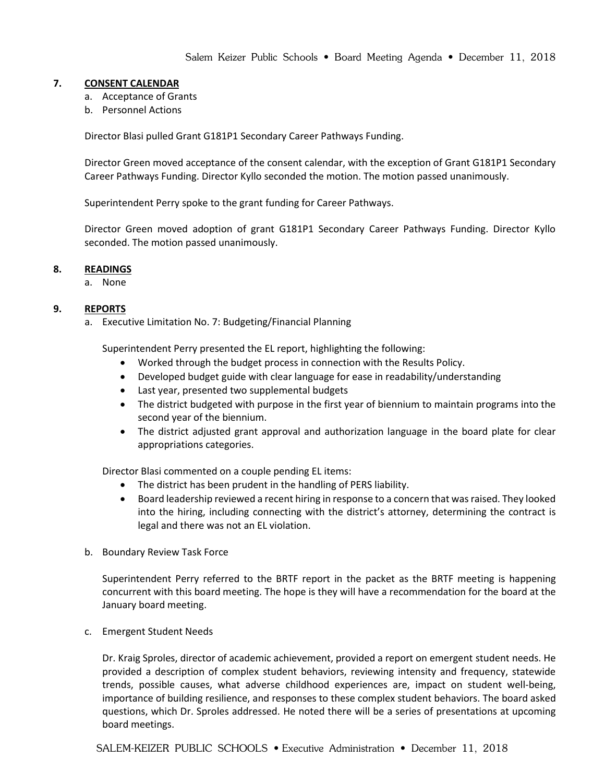### **7. CONSENT CALENDAR**

- a. Acceptance of Grants
- b. Personnel Actions

Director Blasi pulled Grant G181P1 Secondary Career Pathways Funding.

Director Green moved acceptance of the consent calendar, with the exception of Grant G181P1 Secondary Career Pathways Funding. Director Kyllo seconded the motion. The motion passed unanimously.

Superintendent Perry spoke to the grant funding for Career Pathways.

Director Green moved adoption of grant G181P1 Secondary Career Pathways Funding. Director Kyllo seconded. The motion passed unanimously.

#### **8. READINGS**

a. None

### **9. REPORTS**

a. Executive Limitation No. 7: Budgeting/Financial Planning

Superintendent Perry presented the EL report, highlighting the following:

- Worked through the budget process in connection with the Results Policy.
- Developed budget guide with clear language for ease in readability/understanding
- Last year, presented two supplemental budgets
- The district budgeted with purpose in the first year of biennium to maintain programs into the second year of the biennium.
- The district adjusted grant approval and authorization language in the board plate for clear appropriations categories.

Director Blasi commented on a couple pending EL items:

- The district has been prudent in the handling of PERS liability.
- Board leadership reviewed a recent hiring in response to a concern that was raised. They looked into the hiring, including connecting with the district's attorney, determining the contract is legal and there was not an EL violation.
- b. Boundary Review Task Force

Superintendent Perry referred to the BRTF report in the packet as the BRTF meeting is happening concurrent with this board meeting. The hope is they will have a recommendation for the board at the January board meeting.

c. Emergent Student Needs

Dr. Kraig Sproles, director of academic achievement, provided a report on emergent student needs. He provided a description of complex student behaviors, reviewing intensity and frequency, statewide trends, possible causes, what adverse childhood experiences are, impact on student well-being, importance of building resilience, and responses to these complex student behaviors. The board asked questions, which Dr. Sproles addressed. He noted there will be a series of presentations at upcoming board meetings.